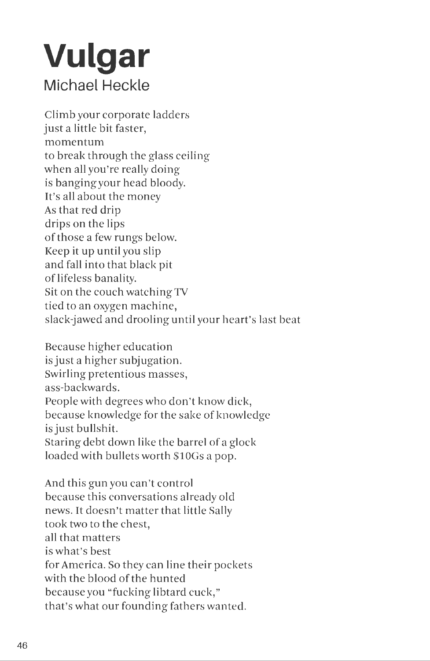## **Vulgar Michael Heckle**

Climb your corporate ladders just a little bit faster, momentum to break through the glass ceiling when all you're really doing is banging your head bloody. It's all about the money As that red drip drips on the lips of those a few rungs below. Keep it up until you slip and fall into that black pit of lifeless banality. Sit on the couch watching TV tied to an oxygen machine, slack-jawed and drooling until your heart's last beat

Because higher education is just a higher subjugation. Swirling pretentious masses, ass-backwards. People with degrees who don't know dick, because knowledge for the sake of knowledge is just bullshit. Staring debt down like the barrel of a glock loaded with bullets worth \$10Gs a pop.

And this gun you can't control because this conversations already old news. It doesn't matter that little Sally took two to the chest, all that matters is what's best for America. So they can line their pockets with the blood of the hunted because you "fucking libtard cuck," that's what our founding fathers wanted.